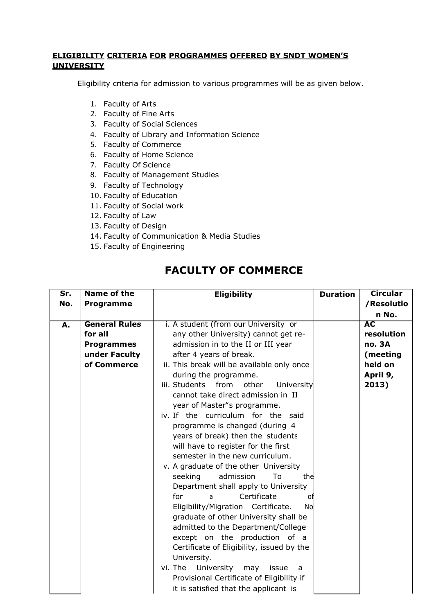## **ELIGIBILITY CRITERIA FOR PROGRAMMES OFFERED BY SNDT WOMEN'S UNIVERSITY**

Eligibility criteria for admission to various programmes will be as given below.

- 1. Faculty of Arts
- 2. Faculty of Fine Arts
- 3. Faculty of Social Sciences
- 4. Faculty of Library and Information Science
- 5. Faculty of Commerce
- 6. Faculty of Home Science
- 7. Faculty Of Science
- 8. Faculty of Management Studies
- 9. Faculty of Technology
- 10. Faculty of Education
- 11. Faculty of Social work
- 12. Faculty of Law
- 13. Faculty of Design
- 14. Faculty of Communication & Media Studies
- 15. Faculty of Engineering

## **FACULTY OF COMMERCE**

| $\overline{\mathsf{Sr.}}$ | Name of the          | <b>Eligibility</b>                              | <b>Duration</b> | <b>Circular</b> |
|---------------------------|----------------------|-------------------------------------------------|-----------------|-----------------|
| No.                       | <b>Programme</b>     |                                                 |                 | /Resolutio      |
|                           |                      |                                                 |                 | n No.           |
| А.                        | <b>General Rules</b> | i. A student (from our University or            |                 | <b>AC</b>       |
|                           | for all              | any other University) cannot get re-            |                 | resolution      |
|                           | <b>Programmes</b>    | admission in to the II or III year              |                 | <b>no. 3A</b>   |
|                           | under Faculty        | after 4 years of break.                         |                 | (meeting        |
|                           | of Commerce          | ii. This break will be available only once      |                 | held on         |
|                           |                      | during the programme.                           |                 | April 9,        |
|                           |                      | iii. Students from<br>other<br>University       |                 | 2013)           |
|                           |                      | cannot take direct admission in II              |                 |                 |
|                           |                      | year of Master"s programme.                     |                 |                 |
|                           |                      | iv. If the curriculum for the said              |                 |                 |
|                           |                      | programme is changed (during 4                  |                 |                 |
|                           |                      | years of break) then the students               |                 |                 |
|                           |                      | will have to register for the first             |                 |                 |
|                           |                      | semester in the new curriculum.                 |                 |                 |
|                           |                      | v. A graduate of the other University           |                 |                 |
|                           |                      | admission<br>To<br>seeking<br>the               |                 |                 |
|                           |                      | Department shall apply to University            |                 |                 |
|                           |                      | for<br>Certificate<br>a<br>оf                   |                 |                 |
|                           |                      | Eligibility/Migration Certificate.<br><b>No</b> |                 |                 |
|                           |                      | graduate of other University shall be           |                 |                 |
|                           |                      | admitted to the Department/College              |                 |                 |
|                           |                      | except on the production of a                   |                 |                 |
|                           |                      | Certificate of Eligibility, issued by the       |                 |                 |
|                           |                      | University.                                     |                 |                 |
|                           |                      | vi. The<br>University<br>may<br>issue<br>a      |                 |                 |
|                           |                      | Provisional Certificate of Eligibility if       |                 |                 |
|                           |                      | it is satisfied that the applicant is           |                 |                 |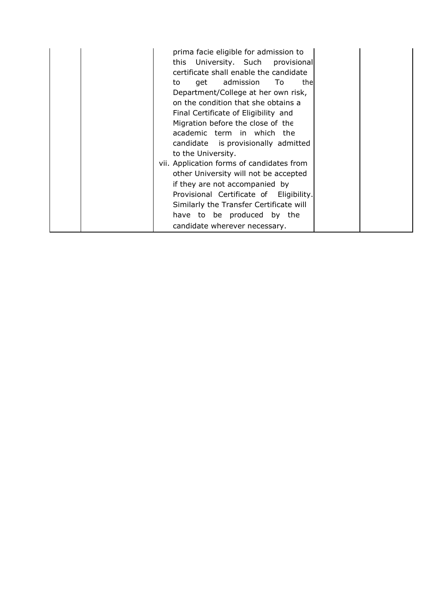|  | prima facie eligible for admission to<br>this University. Such provisional<br>certificate shall enable the candidate<br>get admission To<br>thel<br>to<br>Department/College at her own risk,<br>on the condition that she obtains a<br>Final Certificate of Eligibility and<br>Migration before the close of the<br>academic term in which the<br>candidate is provisionally admitted<br>to the University.<br>vii. Application forms of candidates from<br>other University will not be accepted<br>if they are not accompanied by<br>Provisional Certificate of Eligibility.<br>Similarly the Transfer Certificate will<br>have to be produced by the<br>candidate wherever necessary. |  |  |
|--|-------------------------------------------------------------------------------------------------------------------------------------------------------------------------------------------------------------------------------------------------------------------------------------------------------------------------------------------------------------------------------------------------------------------------------------------------------------------------------------------------------------------------------------------------------------------------------------------------------------------------------------------------------------------------------------------|--|--|
|--|-------------------------------------------------------------------------------------------------------------------------------------------------------------------------------------------------------------------------------------------------------------------------------------------------------------------------------------------------------------------------------------------------------------------------------------------------------------------------------------------------------------------------------------------------------------------------------------------------------------------------------------------------------------------------------------------|--|--|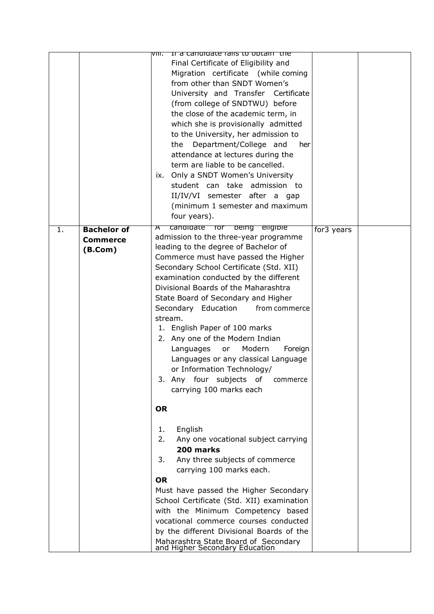|    |                                                  | If a candidate falls to optain the<br>VIII.<br>Final Certificate of Eligibility and<br>Migration certificate (while coming<br>from other than SNDT Women's<br>University and Transfer Certificate<br>(from college of SNDTWU) before<br>the close of the academic term, in<br>which she is provisionally admitted<br>to the University, her admission to<br>Department/College and<br>her<br>the<br>attendance at lectures during the<br>term are liable to be cancelled.<br>ix. Only a SNDT Women's University<br>student can take admission to<br>II/IV/VI semester after a gap<br>(minimum 1 semester and maximum<br>four years).          |            |  |
|----|--------------------------------------------------|-----------------------------------------------------------------------------------------------------------------------------------------------------------------------------------------------------------------------------------------------------------------------------------------------------------------------------------------------------------------------------------------------------------------------------------------------------------------------------------------------------------------------------------------------------------------------------------------------------------------------------------------------|------------|--|
| 1. | <b>Bachelor of</b><br><b>Commerce</b><br>(B.Com) | candidate for being eligible<br>$\bm{\pi}$<br>admission to the three-year programme<br>leading to the degree of Bachelor of<br>Commerce must have passed the Higher<br>Secondary School Certificate (Std. XII)<br>examination conducted by the different<br>Divisional Boards of the Maharashtra<br>State Board of Secondary and Higher<br>Secondary Education<br>from commerce<br>stream.<br>1. English Paper of 100 marks<br>2. Any one of the Modern Indian<br>Modern<br>Languages<br>Foreign<br>or<br>Languages or any classical Language<br>or Information Technology/<br>3. Any four subjects of<br>commerce<br>carrying 100 marks each | for3 years |  |
|    |                                                  | <b>OR</b><br>English<br>1.<br>2.<br>Any one vocational subject carrying<br>200 marks<br>Any three subjects of commerce<br>3.<br>carrying 100 marks each.<br><b>OR</b><br>Must have passed the Higher Secondary<br>School Certificate (Std. XII) examination<br>with the Minimum Competency based<br>vocational commerce courses conducted<br>by the different Divisional Boards of the<br>Maharashtra State Board of Secondary<br>and Higher Secondary Education                                                                                                                                                                              |            |  |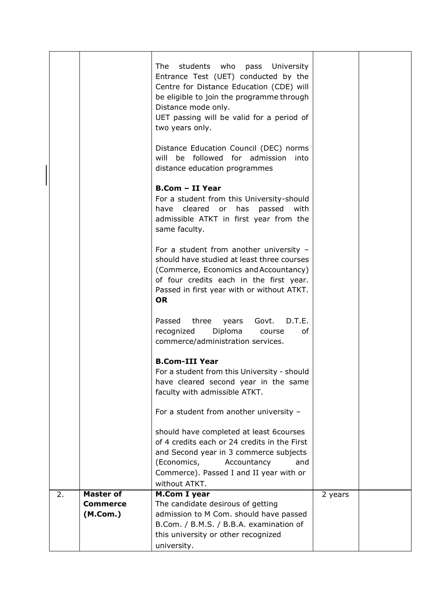|    |                  | students who<br>University<br>The<br>pass<br>Entrance Test (UET) conducted by the<br>Centre for Distance Education (CDE) will<br>be eligible to join the programme through<br>Distance mode only.<br>UET passing will be valid for a period of<br>two years only.<br>Distance Education Council (DEC) norms<br>be followed for admission<br>will<br>into |         |  |
|----|------------------|----------------------------------------------------------------------------------------------------------------------------------------------------------------------------------------------------------------------------------------------------------------------------------------------------------------------------------------------------------|---------|--|
|    |                  | distance education programmes<br><b>B.Com - II Year</b><br>For a student from this University-should<br>have cleared<br>has<br>passed<br>or<br>with<br>admissible ATKT in first year from the<br>same faculty.                                                                                                                                           |         |  |
|    |                  | For a student from another university $-$<br>should have studied at least three courses<br>(Commerce, Economics and Accountancy)<br>of four credits each in the first year.<br>Passed in first year with or without ATKT.<br><b>OR</b>                                                                                                                   |         |  |
|    |                  | Passed<br>three<br>Govt.<br>D.T.E.<br>years<br>Diploma<br>recognized<br>оf<br>course<br>commerce/administration services.                                                                                                                                                                                                                                |         |  |
|    |                  | <b>B.Com-III Year</b><br>For a student from this University - should<br>have cleared second year in the same<br>faculty with admissible ATKT.                                                                                                                                                                                                            |         |  |
|    |                  | For a student from another university -                                                                                                                                                                                                                                                                                                                  |         |  |
|    |                  | should have completed at least 6courses<br>of 4 credits each or 24 credits in the First<br>and Second year in 3 commerce subjects<br>(Economics,<br>Accountancy<br>and<br>Commerce). Passed I and II year with or<br>without ATKT.                                                                                                                       |         |  |
| 2. | <b>Master of</b> | <b>M.Com I year</b>                                                                                                                                                                                                                                                                                                                                      | 2 years |  |
|    | <b>Commerce</b>  | The candidate desirous of getting                                                                                                                                                                                                                                                                                                                        |         |  |
|    | (M.Com.)         | admission to M Com. should have passed                                                                                                                                                                                                                                                                                                                   |         |  |
|    |                  | B.Com. / B.M.S. / B.B.A. examination of                                                                                                                                                                                                                                                                                                                  |         |  |
|    |                  | this university or other recognized                                                                                                                                                                                                                                                                                                                      |         |  |
|    |                  | university.                                                                                                                                                                                                                                                                                                                                              |         |  |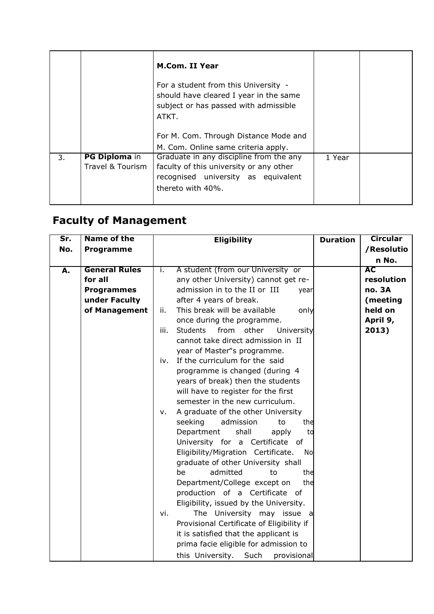|    |                                          | <b>M.Com. II Year</b><br>For a student from this University -                                                                                  |        |  |
|----|------------------------------------------|------------------------------------------------------------------------------------------------------------------------------------------------|--------|--|
|    |                                          | should have cleared I year in the same<br>subject or has passed with admissible<br>ATKT.                                                       |        |  |
|    |                                          | For M. Com. Through Distance Mode and<br>M. Com. Online same criteria apply.                                                                   |        |  |
| 3. | <b>PG Diploma in</b><br>Travel & Tourism | Graduate in any discipline from the any<br>faculty of this university or any other<br>recognised university as equivalent<br>thereto with 40%. | 1 Year |  |

## **Faculty of Management**

| $\overline{\mathsf{Sr.}}$ | <b>Name of the</b>   | <b>Eligibility</b>                                     | <b>Duration</b> | <b>Circular</b> |
|---------------------------|----------------------|--------------------------------------------------------|-----------------|-----------------|
| No.                       | <b>Programme</b>     |                                                        |                 | /Resolutio      |
|                           |                      |                                                        |                 | n No.           |
| A.                        | <b>General Rules</b> | A student (from our University or<br>i.                |                 | <b>AC</b>       |
|                           | for all              | any other University) cannot get re-                   |                 | resolution      |
|                           | <b>Programmes</b>    | admission in to the II or III<br>year                  |                 | <b>no. 3A</b>   |
|                           | under Faculty        | after 4 years of break.                                |                 | (meeting        |
|                           | of Management        | This break will be available<br>only<br>ii.            |                 | held on         |
|                           |                      | once during the programme.                             |                 | April 9,        |
|                           |                      | iii.<br><b>Students</b><br>from<br>University<br>other |                 | 2013)           |
|                           |                      | cannot take direct admission in II                     |                 |                 |
|                           |                      | year of Master"s programme.                            |                 |                 |
|                           |                      | If the curriculum for the said<br>iv.                  |                 |                 |
|                           |                      | programme is changed (during 4                         |                 |                 |
|                           |                      | years of break) then the students                      |                 |                 |
|                           |                      | will have to register for the first                    |                 |                 |
|                           |                      | semester in the new curriculum.                        |                 |                 |
|                           |                      | A graduate of the other University<br>v.               |                 |                 |
|                           |                      | seeking<br>admission<br>to<br>the                      |                 |                 |
|                           |                      | Department<br>shall<br>apply<br>to                     |                 |                 |
|                           |                      | University for a Certificate of                        |                 |                 |
|                           |                      | Eligibility/Migration Certificate.<br>No               |                 |                 |
|                           |                      | graduate of other University shall                     |                 |                 |
|                           |                      | admitted<br>be<br>to<br>the                            |                 |                 |
|                           |                      | the<br>Department/College except on                    |                 |                 |
|                           |                      | production of a Certificate of                         |                 |                 |
|                           |                      | Eligibility, issued by the University.                 |                 |                 |
|                           |                      | The University may issue<br>vi.<br>a                   |                 |                 |
|                           |                      | Provisional Certificate of Eligibility if              |                 |                 |
|                           |                      | it is satisfied that the applicant is                  |                 |                 |
|                           |                      | prima facie eligible for admission to                  |                 |                 |
|                           |                      | this University.<br>Such<br>provisional                |                 |                 |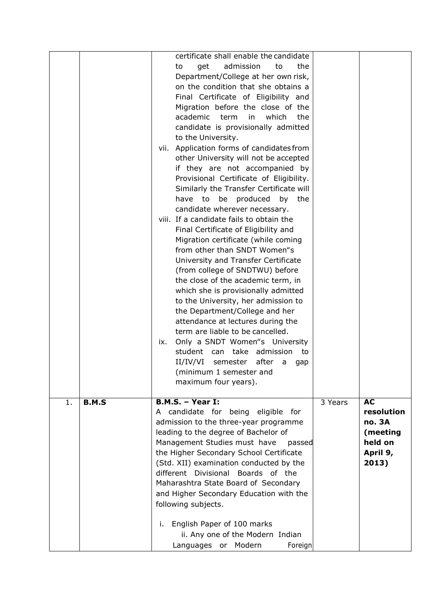|                    | certificate shall enable the candidate<br>get<br>admission<br>the<br>to<br>to<br>Department/College at her own risk,<br>on the condition that she obtains a<br>Final Certificate of Eligibility and<br>Migration before the close of the<br>academic term<br>which<br>in<br>the<br>candidate is provisionally admitted<br>to the University.<br>Application forms of candidates from<br>vii.<br>other University will not be accepted<br>if they are not accompanied by<br>Provisional Certificate of Eligibility.<br>Similarly the Transfer Certificate will<br>be<br>produced<br>have to<br>by<br>the<br>candidate wherever necessary.<br>viii. If a candidate fails to obtain the<br>Final Certificate of Eligibility and<br>Migration certificate (while coming<br>from other than SNDT Women"s<br>University and Transfer Certificate<br>(from college of SNDTWU) before<br>the close of the academic term, in<br>which she is provisionally admitted<br>to the University, her admission to<br>the Department/College and her<br>attendance at lectures during the<br>term are liable to be cancelled.<br>Only a SNDT Women"s University<br>IX.<br>student can take admission to<br>II/IV/VI<br>semester<br>after a<br>gap<br>(minimum 1 semester and |         |                                                                        |
|--------------------|-------------------------------------------------------------------------------------------------------------------------------------------------------------------------------------------------------------------------------------------------------------------------------------------------------------------------------------------------------------------------------------------------------------------------------------------------------------------------------------------------------------------------------------------------------------------------------------------------------------------------------------------------------------------------------------------------------------------------------------------------------------------------------------------------------------------------------------------------------------------------------------------------------------------------------------------------------------------------------------------------------------------------------------------------------------------------------------------------------------------------------------------------------------------------------------------------------------------------------------------------------------|---------|------------------------------------------------------------------------|
|                    | maximum four years).                                                                                                                                                                                                                                                                                                                                                                                                                                                                                                                                                                                                                                                                                                                                                                                                                                                                                                                                                                                                                                                                                                                                                                                                                                        |         |                                                                        |
| 1.<br><b>B.M.S</b> | <b>B.M.S. - Year I:</b><br>A candidate for being eligible for<br>admission to the three-year programme<br>leading to the degree of Bachelor of<br>Management Studies must have<br>passed<br>the Higher Secondary School Certificate<br>(Std. XII) examination conducted by the<br>different Divisional Boards of the<br>Maharashtra State Board of Secondary<br>and Higher Secondary Education with the<br>following subjects.<br>English Paper of 100 marks<br>i.<br>ii. Any one of the Modern Indian<br>Modern<br>Foreign<br>Languages or                                                                                                                                                                                                                                                                                                                                                                                                                                                                                                                                                                                                                                                                                                                 | 3 Years | AC<br>resolution<br>no. 3A<br>(meeting<br>held on<br>April 9,<br>2013) |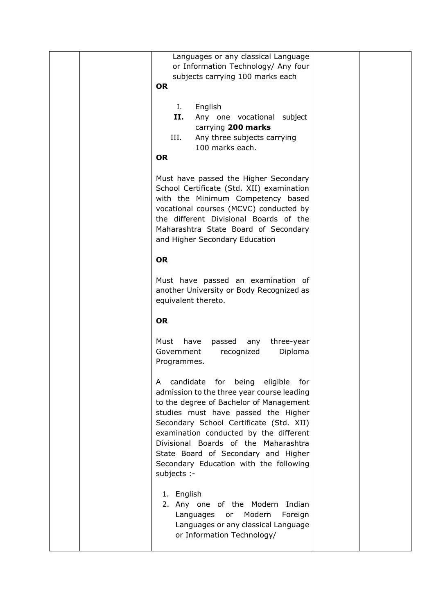| Languages or any classical Language<br>or Information Technology/ Any four<br>subjects carrying 100 marks each<br><b>OR</b><br>L.<br>English<br>II.<br>Any one vocational subject<br>carrying 200 marks<br>III.<br>Any three subjects carrying<br>100 marks each.<br><b>OR</b>                                                                                                                        |  |
|-------------------------------------------------------------------------------------------------------------------------------------------------------------------------------------------------------------------------------------------------------------------------------------------------------------------------------------------------------------------------------------------------------|--|
| Must have passed the Higher Secondary<br>School Certificate (Std. XII) examination<br>with the Minimum Competency based<br>vocational courses (MCVC) conducted by<br>the different Divisional Boards of the<br>Maharashtra State Board of Secondary<br>and Higher Secondary Education                                                                                                                 |  |
| <b>OR</b><br>Must have passed an examination of<br>another University or Body Recognized as<br>equivalent thereto.                                                                                                                                                                                                                                                                                    |  |
| <b>OR</b>                                                                                                                                                                                                                                                                                                                                                                                             |  |
| Must<br>have passed any<br>three-year<br>Diploma<br>Government<br>recognized<br>Programmes.                                                                                                                                                                                                                                                                                                           |  |
| candidate for being eligible<br>for<br>A<br>admission to the three year course leading<br>to the degree of Bachelor of Management<br>studies must have passed the Higher<br>Secondary School Certificate (Std. XII)<br>examination conducted by the different<br>Divisional Boards of the Maharashtra<br>State Board of Secondary and Higher<br>Secondary Education with the following<br>subjects :- |  |
| 1. English<br>2. Any one of the Modern<br>Indian<br>or Modern<br>Languages<br>Foreign<br>Languages or any classical Language<br>or Information Technology/                                                                                                                                                                                                                                            |  |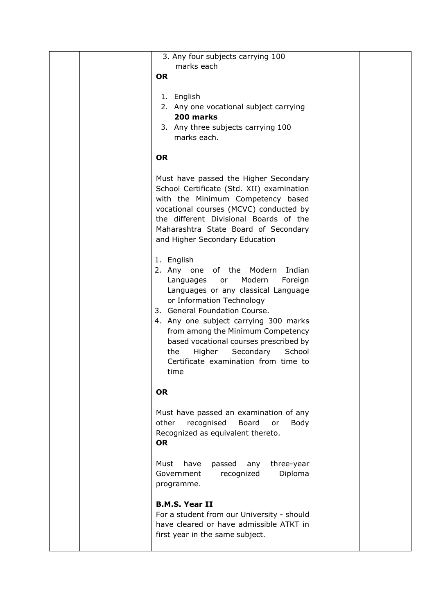| 3. Any four subjects carrying 100           |  |
|---------------------------------------------|--|
| marks each                                  |  |
| <b>OR</b>                                   |  |
|                                             |  |
|                                             |  |
| 1. English                                  |  |
| 2. Any one vocational subject carrying      |  |
| 200 marks                                   |  |
| 3. Any three subjects carrying 100          |  |
| marks each.                                 |  |
|                                             |  |
| <b>OR</b>                                   |  |
|                                             |  |
| Must have passed the Higher Secondary       |  |
| School Certificate (Std. XII) examination   |  |
| with the Minimum Competency based           |  |
|                                             |  |
| vocational courses (MCVC) conducted by      |  |
| the different Divisional Boards of the      |  |
| Maharashtra State Board of Secondary        |  |
| and Higher Secondary Education              |  |
|                                             |  |
| 1. English                                  |  |
| 2. Any one of the Modern<br>Indian          |  |
| Modern<br>Languages or<br>Foreign           |  |
| Languages or any classical Language         |  |
| or Information Technology                   |  |
| 3. General Foundation Course.               |  |
| 4. Any one subject carrying 300 marks       |  |
|                                             |  |
| from among the Minimum Competency           |  |
| based vocational courses prescribed by      |  |
| Secondary<br>Higher<br>School<br>the        |  |
| Certificate examination from time to        |  |
| time                                        |  |
|                                             |  |
| <b>OR</b>                                   |  |
|                                             |  |
| Must have passed an examination of any      |  |
| other<br>recognised<br>Board<br>Body<br>or  |  |
| Recognized as equivalent thereto.           |  |
| <b>OR</b>                                   |  |
|                                             |  |
| have<br>passed<br>three-year<br>Must<br>any |  |
| Diploma<br>Government<br>recognized         |  |
| programme.                                  |  |
|                                             |  |
| <b>B.M.S. Year II</b>                       |  |
| For a student from our University - should  |  |
| have cleared or have admissible ATKT in     |  |
|                                             |  |
| first year in the same subject.             |  |
|                                             |  |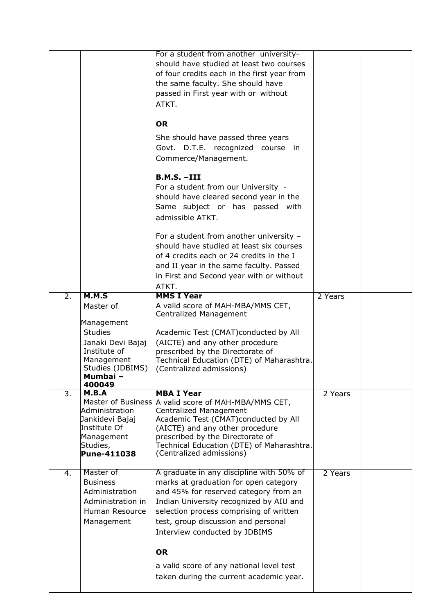|                  |                                             | For a student from another university-                                           |         |  |
|------------------|---------------------------------------------|----------------------------------------------------------------------------------|---------|--|
|                  |                                             | should have studied at least two courses                                         |         |  |
|                  |                                             | of four credits each in the first year from<br>the same faculty. She should have |         |  |
|                  |                                             | passed in First year with or without                                             |         |  |
|                  |                                             | ATKT.                                                                            |         |  |
|                  |                                             |                                                                                  |         |  |
|                  |                                             | <b>OR</b>                                                                        |         |  |
|                  |                                             | She should have passed three years                                               |         |  |
|                  |                                             | Govt. D.T.E. recognized course in                                                |         |  |
|                  |                                             | Commerce/Management.                                                             |         |  |
|                  |                                             | $B.M.S. -III$                                                                    |         |  |
|                  |                                             | For a student from our University -                                              |         |  |
|                  |                                             | should have cleared second year in the                                           |         |  |
|                  |                                             | Same subject or has passed with                                                  |         |  |
|                  |                                             | admissible ATKT.                                                                 |         |  |
|                  |                                             | For a student from another university -                                          |         |  |
|                  |                                             | should have studied at least six courses                                         |         |  |
|                  |                                             | of 4 credits each or 24 credits in the I                                         |         |  |
|                  |                                             | and II year in the same faculty. Passed                                          |         |  |
|                  |                                             | in First and Second year with or without                                         |         |  |
| $\overline{2}$ . | M.M.S                                       | ATKT.<br><b>MMS I Year</b>                                                       | 2 Years |  |
|                  | Master of                                   | A valid score of MAH-MBA/MMS CET,                                                |         |  |
|                  |                                             | Centralized Management                                                           |         |  |
|                  | Management<br><b>Studies</b>                |                                                                                  |         |  |
|                  | Janaki Devi Bajaj                           | Academic Test (CMAT)conducted by All<br>(AICTE) and any other procedure          |         |  |
|                  | Institute of                                | prescribed by the Directorate of                                                 |         |  |
|                  | Management                                  | Technical Education (DTE) of Maharashtra.                                        |         |  |
|                  | Studies (JDBIMS)                            | (Centralized admissions)                                                         |         |  |
|                  | Mumbaı –<br>400049                          |                                                                                  |         |  |
| 3.               | M.B.A                                       | <b>MBA I Year</b>                                                                | 2 Years |  |
|                  | Master of Business<br><b>Administration</b> | A valid score of MAH-MBA/MMS CET,                                                |         |  |
|                  | Jankidevi Bajaj                             | Centralized Management<br>Academic Test (CMAT)conducted by All                   |         |  |
|                  | Institute Of                                | (AICTE) and any other procedure                                                  |         |  |
|                  | Management                                  | prescribed by the Directorate of                                                 |         |  |
|                  |                                             |                                                                                  |         |  |
|                  | Studies,                                    | Technical Education (DTE) of Maharashtra.                                        |         |  |
|                  | Pune-411038                                 | (Centralized admissions)                                                         |         |  |
| 4.               | Master of                                   | A graduate in any discipline with 50% of                                         | 2 Years |  |
|                  | <b>Business</b>                             | marks at graduation for open category                                            |         |  |
|                  | Administration                              | and 45% for reserved category from an                                            |         |  |
|                  | Administration in                           | Indian University recognized by AIU and                                          |         |  |
|                  | Human Resource                              | selection process comprising of written                                          |         |  |
|                  | Management                                  | test, group discussion and personal<br>Interview conducted by JDBIMS             |         |  |
|                  |                                             |                                                                                  |         |  |
|                  |                                             | <b>OR</b>                                                                        |         |  |
|                  |                                             | a valid score of any national level test                                         |         |  |
|                  |                                             | taken during the current academic year.                                          |         |  |